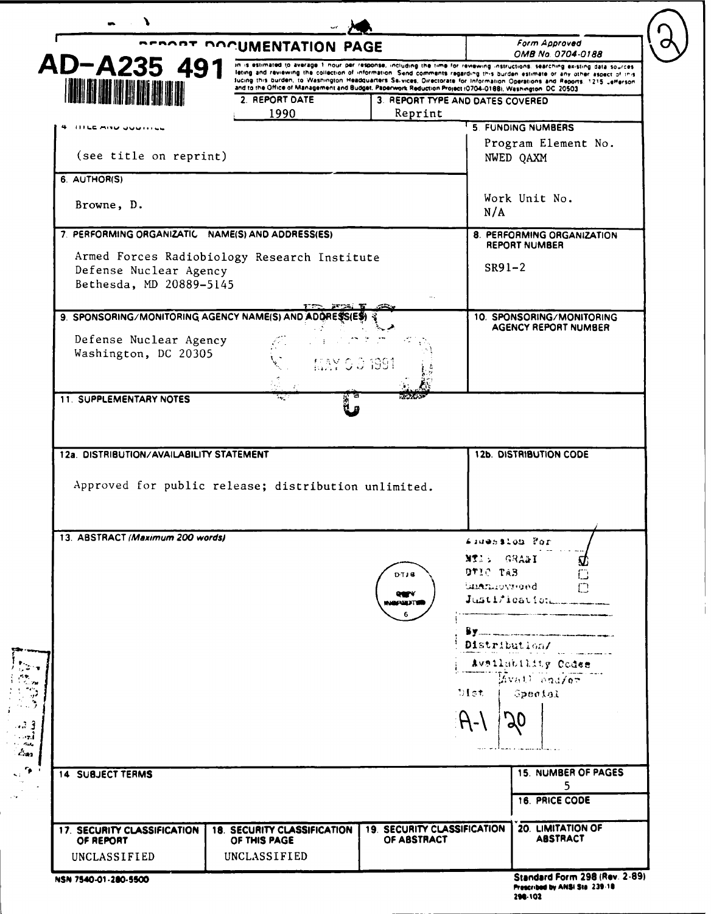|                                                                                                   |                                                                                                            | <b>ACROPE DOCUMENTATION PAGE</b>                  |                                                                                                                                                                                                                                                             |
|---------------------------------------------------------------------------------------------------|------------------------------------------------------------------------------------------------------------|---------------------------------------------------|-------------------------------------------------------------------------------------------------------------------------------------------------------------------------------------------------------------------------------------------------------------|
| AD-A235 491                                                                                       |                                                                                                            |                                                   | OMB No. 0704-0188<br>in is estimated to average 1 nour per response, including the time for reviewing instructions, searching existing data sources                                                                                                         |
|                                                                                                   | and to the Office of Management and Budget, Paperwork Reduction Project (0704-0188), Washington, DC, 20503 |                                                   | leting and reviewing the collection of information. Send comments regarding this burden estimate or any other aspect of this<br>fucing this burden, to Washington Headquarters Ssivices, Directorate for Information Operations and Reports, 1215 Jefferson |
| <b>IN BIN DE RIBBA</b>                                                                            | 2. REPORT DATE                                                                                             | 3. REPORT TYPE AND DATES COVERED                  |                                                                                                                                                                                                                                                             |
|                                                                                                   | 1990                                                                                                       | Reprint                                           |                                                                                                                                                                                                                                                             |
| 4 - ITTEC MINU QUUTHEL                                                                            |                                                                                                            |                                                   | 5 FUNDING NUMBERS<br>Program Element No.                                                                                                                                                                                                                    |
| (see title on reprint)                                                                            |                                                                                                            |                                                   | NWED QAXM                                                                                                                                                                                                                                                   |
| 6. AUTHOR(S)                                                                                      |                                                                                                            |                                                   |                                                                                                                                                                                                                                                             |
| Browne, D.                                                                                        |                                                                                                            |                                                   | Work Unit No.<br>N/A                                                                                                                                                                                                                                        |
| 7. PERFORMING ORGANIZATIC NAME(S) AND ADDRESS(ES)                                                 |                                                                                                            |                                                   | 8. PERFORMING ORGANIZATION                                                                                                                                                                                                                                  |
| Armed Forces Radiobiology Research Institute<br>Defense Nuclear Agency<br>Bethesda, MD 20889-5145 |                                                                                                            |                                                   | REPORT NUMBER<br>$SR91-2$                                                                                                                                                                                                                                   |
| 9. SPONSORING/MONITORING AGENCY NAME(S) AND ADDRESS                                               |                                                                                                            |                                                   | 10. SPONSORING/MONITORING                                                                                                                                                                                                                                   |
| Defense Nuclear Agency                                                                            |                                                                                                            |                                                   | <b>AGENCY REPORT NUMBER</b>                                                                                                                                                                                                                                 |
| Washington, DC 20305                                                                              |                                                                                                            |                                                   |                                                                                                                                                                                                                                                             |
|                                                                                                   |                                                                                                            |                                                   |                                                                                                                                                                                                                                                             |
| 11. SUPPLEMENTARY NOTES                                                                           | 'n.                                                                                                        |                                                   |                                                                                                                                                                                                                                                             |
| 12a. DISTRIBUTION/AVAILABILITY STATEMENT                                                          |                                                                                                            |                                                   | <b>12b. DISTRIBUTION CODE</b>                                                                                                                                                                                                                               |
| Approved for public release; distribution unlimited.                                              |                                                                                                            |                                                   |                                                                                                                                                                                                                                                             |
| 13. ABSTRACT (Maximum 200 words)                                                                  |                                                                                                            |                                                   | Sauession Mor                                                                                                                                                                                                                                               |
|                                                                                                   |                                                                                                            | D-TJ 6                                            | NTIS GRAFI<br>S.<br>DTIC TAB<br>$\Box$<br>bushmovieed.                                                                                                                                                                                                      |
|                                                                                                   |                                                                                                            | QUIN<br><b>INBABDTS</b><br>6                      | Justification                                                                                                                                                                                                                                               |
|                                                                                                   |                                                                                                            |                                                   |                                                                                                                                                                                                                                                             |
|                                                                                                   |                                                                                                            |                                                   | Distribution/                                                                                                                                                                                                                                               |
|                                                                                                   |                                                                                                            |                                                   | Avsilability Codes                                                                                                                                                                                                                                          |
|                                                                                                   |                                                                                                            |                                                   | Livest Sadior                                                                                                                                                                                                                                               |
|                                                                                                   |                                                                                                            |                                                   | DIst.<br>- Special                                                                                                                                                                                                                                          |
|                                                                                                   |                                                                                                            |                                                   |                                                                                                                                                                                                                                                             |
|                                                                                                   |                                                                                                            |                                                   | <b>15. NUMBER OF PAGES</b>                                                                                                                                                                                                                                  |
| <b>14 SUBJECT TERMS</b>                                                                           |                                                                                                            |                                                   | 5                                                                                                                                                                                                                                                           |
|                                                                                                   |                                                                                                            |                                                   | <b>16. PRICE CODE</b>                                                                                                                                                                                                                                       |
| 17. SECURITY CLASSIFICATION<br>OF REPORT<br>UNCLASSIFIED                                          | <b>18. SECURITY CLASSIFICATION</b><br>OF THIS PAGE<br>UNCLASSIFIED                                         | <b>19. SECURITY CLASSIFICATION</b><br>OF ABSTRACT | 20. LIMITATION OF<br><b>ABSTRACT</b>                                                                                                                                                                                                                        |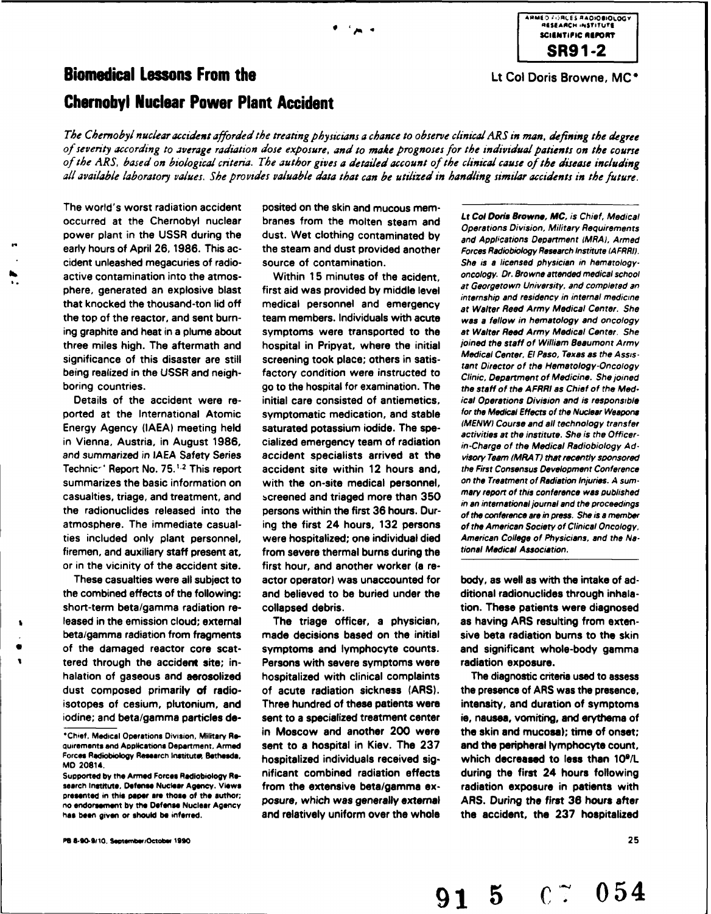## **Biomedical Lessons From the Legion College College College And the Lt Col Doris Browne, MC<sup>+</sup> Chernobyl Nuclear Power Plant Accident**

*The Chernobyl nuclear accident afforded the treating physicians a chance to observe clinical ARS in man, defining the degree of severity according to average radiation dose exposure, and to mahe prognoses for the individual patients on the course of the ARS,* based *on biological criteria. The author gives a detailed account of the clinical cause of the disease including all available laboratory values. She provides valuable data that can be utilized in handling similar accidents in the future.*

**A Provide a Chernobyl nuclear and** *State and Lt Col Doris Browne, MC, is Chief, Medical* **occurred at the Chernobyl nuclear branes from the molten steam and** *Operations Division, Military Requirements* power plant in the **USSR** during the dust. Wet clothing contaminated **by** and Applications Department *IMRAI,* Armed early hours of April 26, 1986. This ac-<br>the steam and dust provided another **Forces Radiobiology Research Institute (AFRRI)**. cident unleashed megacuries of radio- source of contamination. She is **a** licensed physician in hematologyactive contamination into the atmos- Within **15** minutes of the acident, oncology. Dr. Browne attended medical school

short-term beta/gamma radiation re- collapsed debris. These patients were diagnosed **leased in the emission cloud; external The triage officer, a physician, as having ARS resulting from exten-**

**Pe a-90-91i0. see emtbiOctaor 990** 25

The world's worst radiation accident posited on the skin and mucous mem-

phere, generated an explosive blast first aid was provided **by** middle level *at* Georgetown University, and completed an that knocked the thousand-ton lid off medical personnel and emergency at Walter Reed Army Medical Center. She<br>the top of the reactor, and sent burn-<br>team members. Individuals with acute was a fellow in hematology and oncol ing graphite and heat in a plume about symptoms were transported to the at *Walter* Reed Army Medical Center. She three miles high. The aftermath and hospital in Pripyat, where the initial *joined* the staff of William Beaumont Army significance of this disaster are still screening took place; others in satis-<br>tant Director of the Hematology-Oncology being realized in the USSR and neigh-<br>Clinic, Department of Medicine. She joined boring countries. The staff of the hospital for examination. The the staff of the AFRRI as Chief of the Med-Details of the accident were re- initial care consisted of antiemetics. *ical Operations Division and is responsible* ported at the International Atomic symptomatic medication, and stable for the Medical Effects of the Nuclear Weapons<br>Energy Agency (IAEA) meeting held saturated potassium iodide. The spe-<br>Activities at the institute. She i in Vienna, Austria, in August 1986, cialized emergency team of radiation in-Charge of the Medical Radiobiology Adand summarized in **IAEA** Safety Series accident specialists arrived at the *visory Team* (MRA *T* that recently sponsored Technic-' Report No. **75.1.2** This report accident site within 12 hours and, the First Consensus Development Conference summarizes the basic information on with the on-site medical personnel, on the Treatment of Radiation Injuries. A sum-<br>convincing triang and treatment, and y capaned and triaged more than 250, mary report of this conferenc casualties, triage, and treatment, and screened and triaged more than 350 mary report of this conference was published<br>the radionuclides released into the persons within the first 36 hours. Dur-<br>of the conference are in pr atmosphere. The immediate casual- ing the first 24 hours, **132** persons of the American Society of Clinical Oncology, ties included only plant personnel, were hospitalized; one individual died American College of Physicians, and the **Ne**firemen, and auxiliary staff present at, from severe thermal burns during the tional Medical Association. or in the vicinity of the accident site. first hour, and another worker (a re-These casualties were all subject to actor operator) was unaccounted for body, as well as with the intake of adthe combined effects of the following: and believed to be buried under the ditional radionuclides through inhala-

beta/gamma radiation from fragments made decisions based on the initial sive beta radiation bums to the skin of the damaged reactor core scat- symptoms and lymphocyte counts. and significant whole-body gamma tered through the accident site; in- Persons with severe symptoms were radiation exposure. halation of gaseous and aerosolized hospitalized with clinical complaints The diagnostic criteria used to assess dust composed primarily of radio- of acute radiation sickness (ARS). the presence of ARS was the presence, isotopes of cesium, plutonium, and Three hundred of these patients were intensity, and duration of symptoms iodine; and beta/gamma particles **de-** sent to a specialized treatment center **is,** nausea, vomiting, and erythema of \*Chief, Medical Operations Division, Military *Re-* in Moscow and another 200 were the skin and mucose); time of onset; quirements and Applications Depertment, Armed sent to a hospital in Kiev. The 237 and the peripheral lymphocyte count, Forces Rediobiology Research Institute, Bethesda, hospitalized individuals received sig- which decrease Supported **by** the Armed **Forces** Rodioboogy **Re-** nificant combined radiation effects during the first 24 hours following search **Institute.** Defense **Nuclear Agency. Views** from the extensive beta/gamma ex- radiation exposure in patients with no endorsement **by** the **Defense Nuclear** Agency posure, which was generally external ARS. During the first **36** hours after

internship and residency in internal medicine

**91 5 C7 054**



MD 20814.

presented in this **paper are those of the** author; **hes boen given or ahould be** inferred. and relatively uniform over the whole the accident, the **237** hospitalized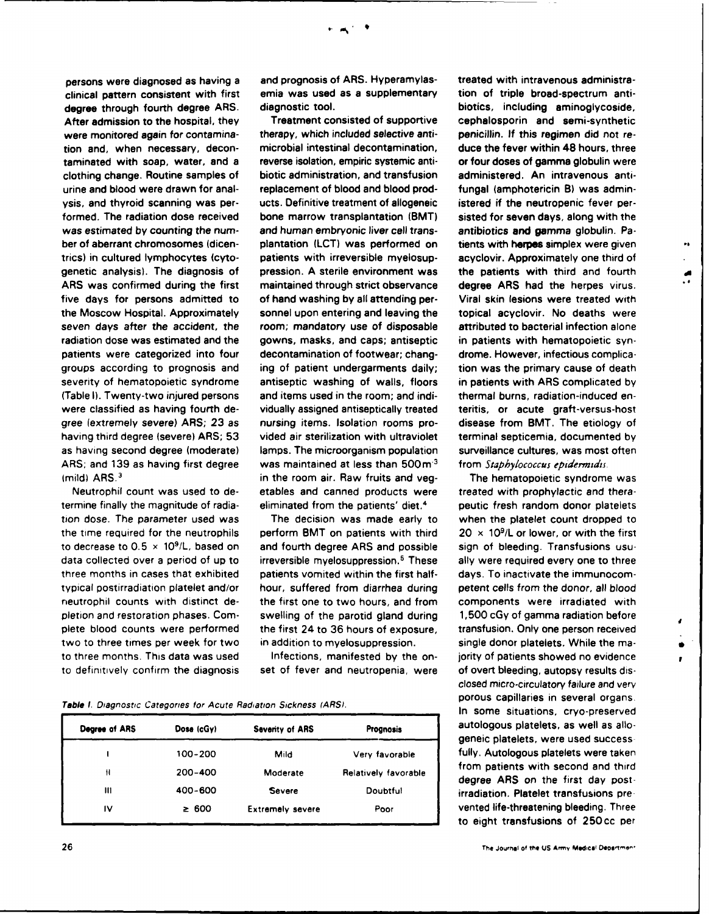clinical pattern consistent with first emia was used as a supplementary tion of triple broad-spectrum antidegree through fourth degree ARS. After admission to the hospital, they Treatment consisted of supportive cephalosporin and semi-synthetic

to three months. This data was used Infections, manifested **by** the on- jority of patients showed no evidence

persons were diagnosed as having a sand prognosis of ARS. Hyperamylas-streated with intravenous administra-<br>clinical pattern consistent with first samila was used as a supplementary stripto of triple broad-spectrum anti

were monitored again for contamina- therapy, which included selective anti- penicillin. **If** this regimen did not retion and, when necessary, decon- microbial intestinal decontamination, duce the fever within 48 hours, three taminated with soap, water, and a reverse isolation, empiric systemic anti- or four doses of gamma globulin were clothing change. Routine samples of biotic administration, and transfusion administered. An intravenous **anti**urine and blood were drawn for anal- replacement of blood and blood prod- fungal (amphotericin B) was adminysis, and thyroid scanning was per- ucts. Definitive treatment of allogeneic istered if the neutropenic fever performed. The radiation dose received bone marrow transplantation (BMT) sisted for seven days, along with the was estimated **by** counting the num- and human embryonic liver cell trans- antibiotics and gamma globulin. Paber of aberrant chromosomes (dicen- plantation **(LCT)** was performed on tients with herpes simplex were given trics) in cultured lymphocytes (cyto- patients with irreversible myelosup- acyclovir. Approximately one third of genetic analysis). The diagnosis of pression. **A** sterile environment was the patients with third and fourth ARS was confirmed during the first maintained through strict observance degree ARS had the herpes virus. five days for persons admitted to of hand washing **by** all attending per- Viral skin lesions were treated with the Moscow Hospital. Approximately sonnel upon entering and leaving the topical acyclovir. No deaths were seven days after the accident, the room; mandatory use of disposable attributed to bacterial infection alone radiation dose was estimated and the gowns, masks, and caps; antiseptic in patients with hematopoietic synpatients were categorized into four decontamination of footwear; chang- drome. However, infectious complicagroups according to prognosis and ing of patient undergarments daily; tion was the primary cause of death severity of hematopoietic syndrome antiseptic washing of walls, floors in patients with ARS complicated **by** (Table **I).** Twenty-two injured persons and items used in the room; and **indi-** thermal burns, radiation-induced enwere classified as having fourth de- vidually assigned antiseptically treated teritis, or acute graft-versus-host gree (extremely severe) ARS; **23** as nursing items. Isolation rooms pro- disease from BMT. The etiology of having third degree (severe) ARS; **53** vided air sterilization with ultraviolet terminal septicemia, documented **by** as having second degree (moderate) lamps. The microorganism population surveillance cultures, was most often ARS; and 139 as having first degree was maintained at less than 500m<sup>3</sup> from *Staphylococcus epidermidis*. (mild) **ARS. <sup>3</sup>**in the room air. Raw fruits and veg- The hematopoietic syndrome was Neutrophil count was used to de- etables and canned products were treated with prophylactic and theratermine finally the magnitude of radia- eliminated from the patients' diet.4 peutic fresh random donor platelets

tion dose. The parameter used was The decision was made early to when the platelet count dropped to the time required for the neutrophils perform BMT on patients with third 20 x **109/L** or lower, or with the first to decrease to **0.5** x **109/L,** based on and fourth degree ARS and possible sign of bleeding. Transfusions usudata collected over a period of up to irreversible myelosuppression.<sup>5</sup> These ally were required every one to three three months in cases that exhibited patients vomited within the first half- days. To inactivate the immunocomtypical postirradiation platelet and/or hour, suffered from diarrhea during petent cells from the donor, all blood neutrophil counts with distinct de- the first one to two hours, and from components were irradiated with pletion and restoration phases. Com- swelling of the parotid gland during **1,500 cGy of gamma radiation before** plete blood counts were performed the first 24 to **36** hours of exposure, transfusion. Only one person received two to three times per week for two in addition to myelosuppression. single donor platelets. While the ma-

to definitively confirm the diagnosis set of fever and neutropenia, were of overt bleeding, autopsy results dis-

**Table** *I. Diagnostic Categories for Acute Radiation Sickness (ARS)***. In some situations, cryo-preserved** 

| Degree of ARS | Dose (cGy) | <b>Severity of ARS</b>  | Prognosis            |
|---------------|------------|-------------------------|----------------------|
|               | 100-200    | Mild                    | Very favorable       |
| Ħ             | 200-400    | Moderate                | Relatively favorable |
| ш             | 400-600    | <b>Severe</b>           | Doubtful             |
| 1V            | $\geq 600$ | <b>Extremely severe</b> | Poor                 |

 $\ddot{\phantom{a}}$ 

 $\mathbf{A}$ 

 $\bullet$  $\bullet$ 

closed micro-circulatory failure and very **porous capillaries in several organs.** autologous platelets, as well as allogeneic platelets, were used success fully. Autologous platelets were taken **<sup>11</sup>**200-400 Moderate Relatively favorable dreens onth st d postd **degree ARS on** *the* **first** *day* **post**irradiation. Platelet transfusions prevented life-threatening bleeding. Three to eight transfusions of 250cc per

**26** The **Journal of tte US Amiv Medical Deoorye "**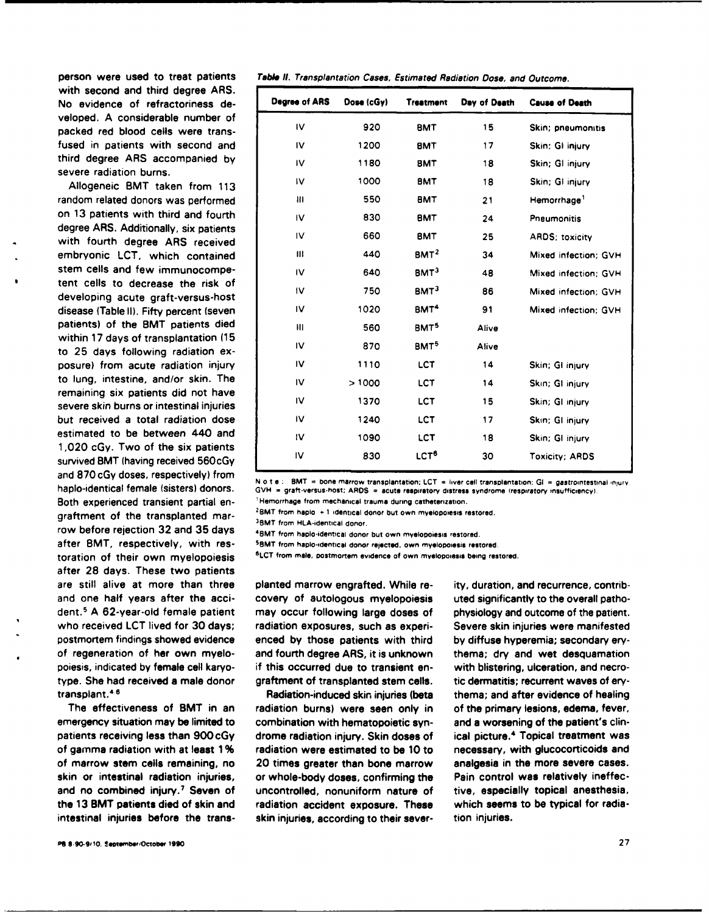with second and third degree ARS. No evidence of refractoriness developed. **A** considerable number of packed red blood cells were transfused in patients with second and  $t$ hird degree ARS accompanied by severe radiation burns.

Allogeneic BMT taken from **113 Iv 1000 BMT 18** Skin; **GI** injury random related donors was performed on 13 patients with third and fourth degree ARS. Additionally, six patients with fourth degree ARS received embryonic LCT, which contained stem cells and few immunocompe $t$ ent cells to decrease the risk of developing acute graft-versus-host disease (Table II). Fifty percent (seven patients) of the BMT patients died within 17 days of transplantation (15 to **25** days following radiation exposure) from acute radiation injury to lung, intestine, and/or skin. The remaining six patients did not have severe skin burns or intestinal injuries but received a total radiation dose estimated to be between 440 and 1,020 cGy. Two of the six patients survived BMT (having received 560cGy Both experienced transient partial en-<br>graftment of the transplanted mar-<br> $^{2}$ BMT from hapio +1 identical donor but own myelopolesis restored.<br> $^{3}$ BMT from HLA-identical donor. row before rejection **32** and **35** days 4 after BMT, respectively, with restoration of their own myelopoiesis **sLCT** from male, postmortem evidence of own myelopoisais **being** restored. after **28** days. These two patients are still alive at more than three planted marrow engrafted. While re- ity, duration, and recurrence, contriband one half years after the acci- covery of autologous myelopoiesis uted significantly to the overall pathodent.5 **A** 62-year-old female patient may occur following large doses of physiology and outcome of the patient. who received **LCT** lived for **30** days; radiation exposures, such as experi- Severe skin injuries were manifested postmortem findings showed evidence enced **by** those patients with third **by** diffuse hyperemia; secondary eryof regeneration of her own myelo- and fourth degree ARS, it is unknown thema; dry and wet desquamation poiesis, indicated **by** female cell karyo- if this occurred due to transient **en-** with blistering, ulceration, and necrotype. She had received a male donor graftment of transplanted stem cells. tic dermatitis; recurrent waves of ery-

## person were used to treat patients Table **It.** Transplantation Cases, Estimated Radiation Dose, and Outcome.

| Degree of ARS  | Dose $(cGy)$ | <b>Treatment</b> | Day of Death | <b>Cause of Death</b>   |
|----------------|--------------|------------------|--------------|-------------------------|
| IV             | 920          | <b>BMT</b>       | 15           | Skin; pneumonitis       |
| I۷             | 1200         | <b>BMT</b>       | 17           | Skin: GI injury         |
| IV             | 1180         | <b>BMT</b>       | 18           | Skin; GI injury         |
| IV             | 1000         | <b>BMT</b>       | 18           | Skin; GI injury         |
| Ш              | 550          | <b>BMT</b>       | 21           | Hemorrhage <sup>1</sup> |
| IV             | 830          | <b>BMT</b>       | 24           | Pneumonitis             |
| IV             | 660          | <b>BMT</b>       | 25           | <b>ARDS</b> ; toxicity  |
| Ш              | 440          | BMT <sup>2</sup> | 34           | Mixed infection; GVH    |
| IV             | 640          | BMT <sup>3</sup> | 48           | Mixed infection: GVH    |
| 1 <sup>V</sup> | 750          | BMT <sup>3</sup> | 86           | Mixed infection: GVH    |
| IV             | 1020         | BMT <sup>4</sup> | 91           | Mixed infection: GVH    |
| Ш              | 560          | BMT <sup>5</sup> | Alive        |                         |
| IV             | 870          | BMT <sup>5</sup> | Alive        |                         |
| IV             | 1110         | <b>LCT</b>       | 14           | Skin; GI injury         |
| IV             | >1000        | <b>LCT</b>       | 14           | Skin; GI injury         |
| IV             | 1370         | <b>LCT</b>       | 15           | Skin; GI injury         |
| IV             | 1240         | <b>LCT</b>       | 17           | Skin; GI injury         |
| IV             | 1090         | <b>LCT</b>       | 18           | Skin; GI injury         |
| IV             | 830          | LCT <sup>6</sup> | 30           | <b>Toxicity: ARDS</b>   |
|                |              |                  |              |                         |

and 870 cGy doses, respectively) from<br>haplo-identical female (sisters) donors. GVH = graft-versus-host: ARDS = acute respiratory distress syndrome (respiratory insufficiency).

BMT from haplo-identical donor but own myelopoiesis restored.

**SMT** from haplo-identical donor rejected, own myelopoiesis restored.

transplant. <sup>4</sup> 6 Radiation-induced skin injuries (beta thema; and after evidence of healing The effectiveness of BMT in an radiation burns) were seen only in of the primary lesions, edema, fever, emergency situation may be limited to combination with hematopoietic syn- and a worsening of the patient's **clin**patients receiving less than 900cGy drome radiation injury. Skin doses of ical picture.<sup>4</sup> Topical treatment was of gamma radiation with at least **1 %** radiation were estimated to be **10** to necessary, with glucocorticoids and of marrow stem cells remaining, no 20 times greater than bone marrow analgesia in the more severe cases. skin or intestinal radiation injuries, or whole-body doses, confirming the Pain control was relatively ineffecand no combined injury.<sup>7</sup> Seven of uncontrolled, nonuniform nature of tive, especially topical anesthesia, the **13** BMT patients died of skin and radiation accident exposure. These which seems to **be** typical for radiaintestinal injuries before the trans- skin injuries, according to their sever- tion injuries.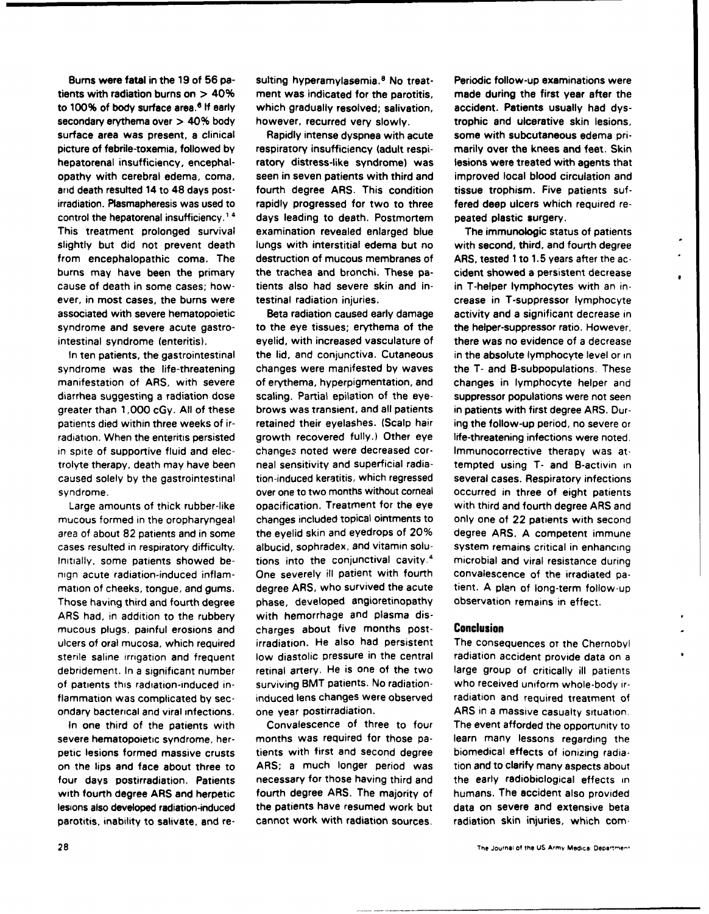tients with radiation burns on **>** 40% ment was indicated for the parotitis, made during the first year after the to 100% of body surface area.<sup>6</sup> If early which gradually resolved; salivation, accident. Patients usually had dyssecondary erythema over **>** 40% body however, recurred very slowly. trophic and ulcerative skin lesions, surface area was present, a clinical and Rapidly intense dyspnea with acute some with subcutaneous edema pripicture of febrile-toxemia, followed **by** respiratory insufficiency (adult respi- **marily** over the knees and feet. Skin hepatorenal insufficiency, encephal- ratory distress-like syndrome) was lesions were treated with agents that opathy with cerebral edema, coma, seen in seven patients with third and improved local **blood** circulation and **and** death resulted 14 to 48 days post- fourth degree ARS. This condition tissue trophism. Five patients sufirradiation. Plasmapheresis was used to rapidly progressed for two to three fered deep ulcers which required recontrol the hepatorenal insufficiency.<sup>1.4</sup> days leading to death. Postmortem peated plastic surgery. This treatment prolonged survival examination revealed enlarged blue The immunologic status of patients slightly but did not prevent death lungs with interstitial edema but no with second, third, and fourth degree from encephalopathic coma. The destruction of mucous membranes of ARS, tested 1 to **1.5** years after the acburns may have been the primary the trachea and bronchi. These pa- cident showed a persistent decrease cause of death in some cases; how- tients also had severe skin and in- in T-helper lymphocytes with an inever, in most cases, the burns were testinal radiation injuries. The crease in T-suppressor lymphocyte associated with severe hematopoietic Beta radiation caused early damage activity and a significant decrease in syndrome and severe acute gastro- to the eye tissues; erythema of the the helper-suppressor ratio. However, intestinal syndrome (enteritis). eyelid, with increased vasculature of there was no evidence of a decrease

syndrome was the life-threatening changes were manifested **by** waves the T- and B-subpopulations. These manifestation of ARS, with severe of erythema, hyperpigmentation, and changes in lymphocyte helper and diarrhea suggesting a radiation dose scaling. Partial epilation of the eye- suppressor populations were not seen greater than **1,000** cGy. **All** of these brows was transient, and all patients in patients with first degree ARS. Durpatients died within three weeks of ir- retained their eyelashes. (Scalp hair ing the follow-up period, no severe or radiation. When the enteritis persisted growth recovered fully.) Other eye life-threatening infections were noted. in spite of supportive fluid and elec- changes noted were decreased cor- Immunocorrective therapy was atcaused solely **by** the gastrointestinal tion-induced keratitis, which regressed several cases. Respiratory infections syndrome. **over one to two months without corneal occurred in three of eight patients** 

ARS had, in addition to the rubbery with hemorrhage and plasma disondary bacterical and viral infections, one year postirradiation. ARS in a massive casualty situation.

Bums were fatal in the **19** of **56** pa- suiting hyperamylasemia. 8 No treat- Periodic follow-up examinations were

Large amounts of thick rubber-like opacification. Treatment for the eye with third and fourth degree ARS and mucous formed in the oropharyngeal changes included topical ointments to only one of 22 patients with second area of about **82** patients and in some the eyelid skin and eyedrops of 20% degree ARS. **A** competent immune cases resulted in respiratory difficulty. albucid, sophradex, and vitamin solu- system remains critical in enhancing Initially, some patients showed be- tions into the conjunctival cavity.<sup>4</sup>microbial and viral resistance during nign acute radiation-induced inflam- One severely ill patient with fourth convalescence of the irradiated pamation of cheeks, tongue, and gums. degree ARS, who survived the acute tient. **A** plan of long-term follow-up Those having third and fourth degree phase, developed angioretinopathy observation remains in effect. mucous plugs, painful erosions and charges about five months post- **Conclusion** ulcers of oral mucosa, which required irradiation. He also had persistent The consequences ot the Chernobyl sterile saline irrigation and frequent low diastolic pressure in the central radiation accident provide data on a debridement. In a significant number retinal artery. He is one of the two large group of critically ill patients of patients this radiation-induced in- surviving BMT patients. No radiation- who received uniform whole-body irflammation was complicated **by** sec- induced lens changes were observed radiation and required treatment of

In one third of the patients with Convalescence of three to four The event afforded the opportunity to severe hematopoietic syndrome, her- months was required for those pa- learn many lessons regarding the petic lesions formed massive crusts tients with first and second degree biomedical effects of ionizing radiaon the lips and face about three to ARS; a much longer period was tion and to clarify many aspects about four days postirradiation. Patients necessary for those having third and the early radiobiclogical effects in with fourth degree ARS and herpetic fourth degree ARS. The majority of humans. The accident also provided lesions also developed radiation-induced the patients have resumed work but data on severe and extensive beta parotitis, inability to salivate, and re- cannot work with radiation sources. radiation skin injuries, which com-

 $\bullet$ 

 $\bullet$ 

In ten patients, the gastrointestinal the lid, and conjunctiva. Cutaneous in the absolute lymphocyte level or in trolyte therapy, death may have been neal sensitivity and superficial radia- tempted using T- and B-activin in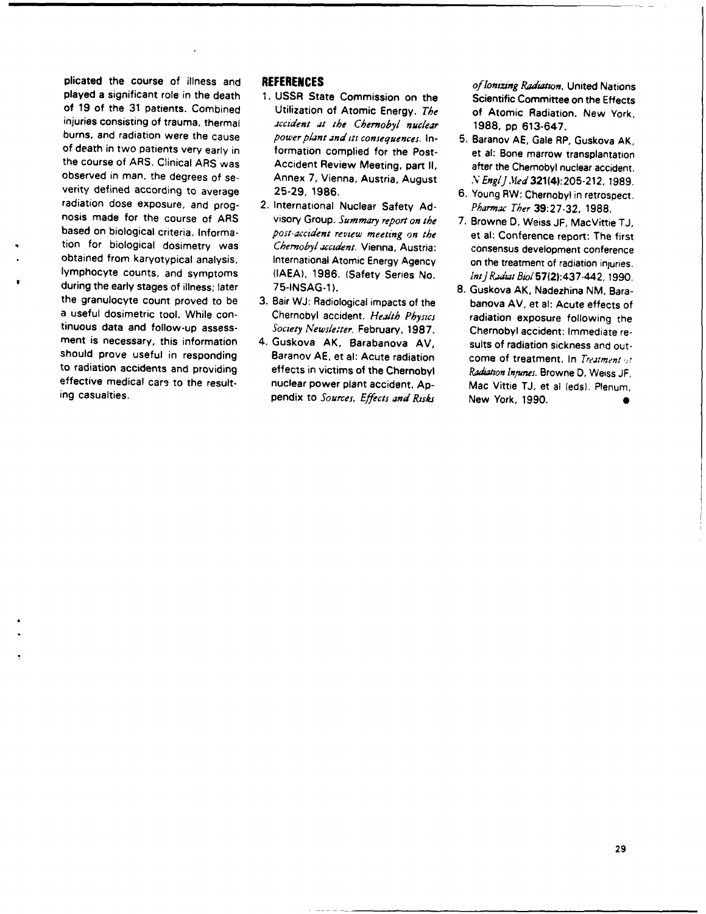plicated the course of illness and **REFERICES**<br>
plicated the course of liness and significant role in the death<br>
of 19 of the distinct of line in the death of the distinct of the interfect of the course of the Simplinis c

- 
- 
- 
- 

- 
- 
- 
-